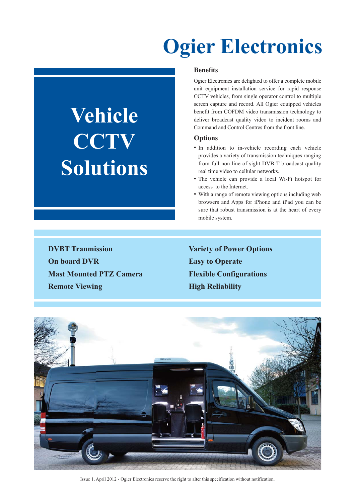## **Ogier Electronics**

# **Vehicle CCTV Solutions**

#### **Benefits**

Ogier Electronics are delighted to offer a complete mobile unit equipment installation service for rapid response CCTV vehicles, from single operator control to multiple screen capture and record. All Ogier equipped vehicles benefit from COFDM video transmission technology to deliver broadcast quality video to incident rooms and Command and Control Centres from the front line.

#### **Options**

- In addition to in-vehicle recording each vehicle provides a variety of transmission techniques ranging from full non line of sight DVB-T broadcast quality real time video to cellular networks.
- The vehicle can provide a local Wi-Fi hotspot for access to the Internet.
- With a range of remote viewing options including web browsers and Apps for iPhone and iPad you can be sure that robust transmission is at the heart of every mobile system.

**DVBT Tranmission** Variety of Power Options **On board DVR** Easy to Operate **Mast Mounted PTZ Camera** Flexible Configurations **Remote Viewing High Reliability** 



Issue 1, April 2012 - Ogier Electronics reserve the right to alter this specification without notification.